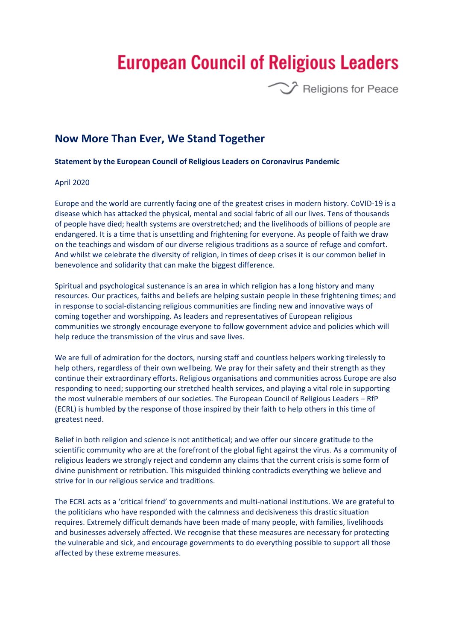## **European Council of Religious Leaders**



## **Now More Than Ever, We Stand Together**

## **Statement by the European Council of Religious Leaders on Coronavirus Pandemic**

## April 2020

Europe and the world are currently facing one of the greatest crises in modern history. CoVID-19 is a disease which has attacked the physical, mental and social fabric of all our lives. Tens of thousands of people have died; health systems are overstretched; and the livelihoods of billions of people are endangered. It is a time that is unsettling and frightening for everyone. As people of faith we draw on the teachings and wisdom of our diverse religious traditions as a source of refuge and comfort. And whilst we celebrate the diversity of religion, in times of deep crises it is our common belief in benevolence and solidarity that can make the biggest difference.

Spiritual and psychological sustenance is an area in which religion has a long history and many resources. Our practices, faiths and beliefs are helping sustain people in these frightening times; and in response to social-distancing religious communities are finding new and innovative ways of coming together and worshipping. As leaders and representatives of European religious communities we strongly encourage everyone to follow government advice and policies which will help reduce the transmission of the virus and save lives.

We are full of admiration for the doctors, nursing staff and countless helpers working tirelessly to help others, regardless of their own wellbeing. We pray for their safety and their strength as they continue their extraordinary efforts. Religious organisations and communities across Europe are also responding to need; supporting our stretched health services, and playing a vital role in supporting the most vulnerable members of our societies. The European Council of Religious Leaders – RfP (ECRL) is humbled by the response of those inspired by their faith to help others in this time of greatest need.

Belief in both religion and science is not antithetical; and we offer our sincere gratitude to the scientific community who are at the forefront of the global fight against the virus. As a community of religious leaders we strongly reject and condemn any claims that the current crisis is some form of divine punishment or retribution. This misguided thinking contradicts everything we believe and strive for in our religious service and traditions.

The ECRL acts as a 'critical friend' to governments and multi-national institutions. We are grateful to the politicians who have responded with the calmness and decisiveness this drastic situation requires. Extremely difficult demands have been made of many people, with families, livelihoods and businesses adversely affected. We recognise that these measures are necessary for protecting the vulnerable and sick, and encourage governments to do everything possible to support all those affected by these extreme measures.